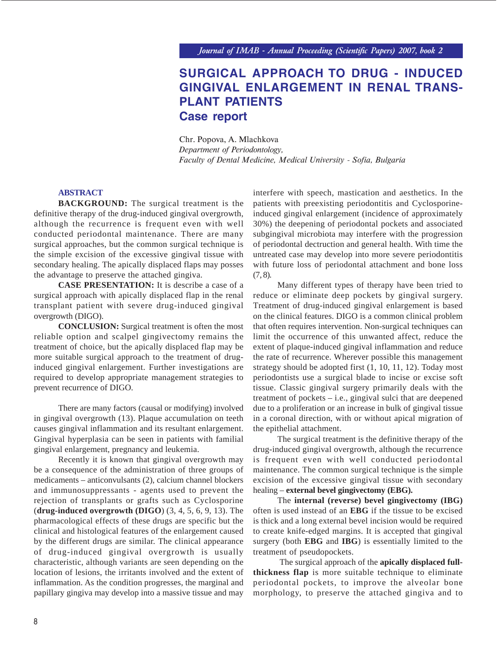# **SURGICAL APPROACH TO DRUG - INDUCED GINGIVAL ENLARGEMENT IN RENAL TRANS-PLANT PATIENTS Case report**

Chr. Popova, A. Mlachkova *Department of Periodontology, Faculty of Dental Medicine, Medical University - Sofia, Bulgaria*

## **ABSTRACT**

**BACKGROUND:** The surgical treatment is the definitive therapy of the drug-induced gingival overgrowth, although the recurrence is frequent even with well conducted periodontal maintenance. There are many surgical approaches, but the common surgical technique is the simple excision of the excessive gingival tissue with secondary healing. The apically displaced flaps may posses the advantage to preserve the attached gingiva.

**CASE PRESENTATION:** It is describe a case of a surgical approach with apically displaced flap in the renal transplant patient with severe drug-induced gingival overgrowth (DIGO).

**CONCLUSION:** Surgical treatment is often the most reliable option and scalpel gingivectomy remains the treatment of choice, but the apically displaced flap may be more suitable surgical approach to the treatment of druginduced gingival enlargement. Further investigations are required to develop appropriate management strategies to prevent recurrence of DIGO.

There are many factors (causal or modifying) involved in gingival overgrowth (13). Plaque accumulation on teeth causes gingival inflammation and its resultant enlargement. Gingival hyperplasia can be seen in patients with familial gingival enlargement, pregnancy and leukemia.

Recently it is known that gingival overgrowth may be a consequence of the administration of three groups of medicaments – anticonvulsants (2), calcium channel blockers and immunosuppressants - agents used to prevent the rejection of transplants or grafts such as Cyclosporine (**drug-induced overgrowth (DIGO**) (3, 4, 5, 6, 9, 13). The pharmacological effects of these drugs are specific but the clinical and histological features of the enlargement caused by the different drugs are similar. The clinical appearance of drug-induced gingival overgrowth is usually characteristic, although variants are seen depending on the location of lesions, the irritants involved and the extent of inflammation. As the condition progresses, the marginal and papillary gingiva may develop into a massive tissue and may interfere with speech, mastication and aesthetics. In the patients with preexisting periodontitis and Cyclosporineinduced gingival enlargement (incidence of approximately 30%) the deepening of periodontal pockets and associated subgingival microbiota may interfere with the progression of periodontal dectruction and general health. With time the untreated case may develop into more severe periodontitis with future loss of periodontal attachment and bone loss (7, 8).

Many different types of therapy have been tried to reduce or eliminate deep pockets by gingival surgery. Treatment of drug-induced gingival enlargement is based on the clinical features. DIGO is a common clinical problem that often requires intervention. Non-surgical techniques can limit the occurrence of this unwanted affect, reduce the extent of plaque-induced gingival inflammation and reduce the rate of recurrence. Wherever possible this management strategy should be adopted first (1, 10, 11, 12). Today most periodontists use a surgical blade to incise or excise soft tissue. Classic gingival surgery primarily deals with the treatment of pockets – i.e., gingival sulci that are deepened due to a proliferation or an increase in bulk of gingival tissue in a coronal direction, with or without apical migration of the epithelial attachment.

The surgical treatment is the definitive therapy of the drug-induced gingival overgrowth, although the recurrence is frequent even with well conducted periodontal maintenance. The common surgical technique is the simple excision of the excessive gingival tissue with secondary healing – **external bevel gingivectomy (EBG).**

The **internal (reverse) bevel gingivectomy (IBG)** often is used instead of an **EBG** if the tissue to be excised is thick and a long external bevel incision would be required to create knife-edged margins. It is accepted that gingival surgery (both **EBG** and **IBG**) is essentially limited to the treatment of pseudopockets.

 The surgical approach of the **apically displaced fullthickness flap** is more suitable technique to eliminate periodontal pockets, to improve the alveolar bone morphology, to preserve the attached gingiva and to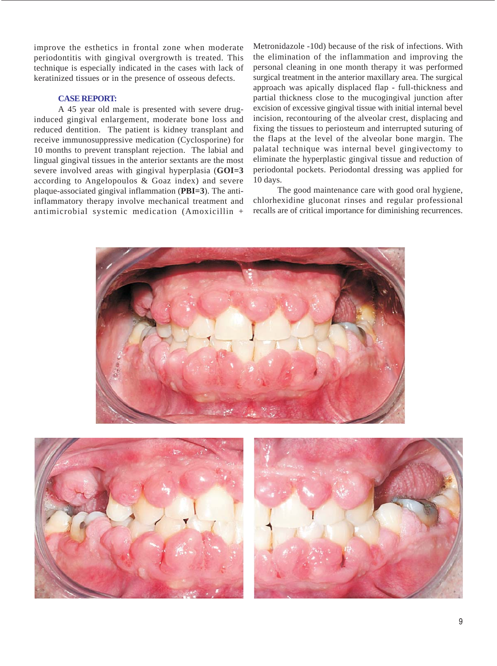improve the esthetics in frontal zone when moderate periodontitis with gingival overgrowth is treated. This technique is especially indicated in the cases with lack of keratinized tissues or in the presence of osseous defects.

## **CASE REPORT:**

A 45 year old male is presented with severe druginduced gingival enlargement, moderate bone loss and reduced dentition. The patient is kidney transplant and receive immunosuppressive medication (Cyclosporine) for 10 months to prevent transplant rejection. The labial and lingual gingival tissues in the anterior sextants are the most severe involved areas with gingival hyperplasia (**GOI=3** according to Angelopoulos & Goaz index) and severe plaque-associated gingival inflammation (**PBI=3**). The antiinflammatory therapy involve mechanical treatment and antimicrobial systemic medication (Amoxicillin + Metronidazole -10d) because of the risk of infections. With the elimination of the inflammation and improving the personal cleaning in one month therapy it was performed surgical treatment in the anterior maxillary area. The surgical approach was apically displaced flap - full-thickness and partial thickness close to the mucogingival junction after excision of excessive gingival tissue with initial internal bevel incision, recontouring of the alveolar crest, displacing and fixing the tissues to periosteum and interrupted suturing of the flaps at the level of the alveolar bone margin. The palatal technique was internal bevel gingivectomy to eliminate the hyperplastic gingival tissue and reduction of periodontal pockets. Periodontal dressing was applied for 10 days.

The good maintenance care with good oral hygiene, chlorhexidine gluconat rinses and regular professional recalls are of critical importance for diminishing recurrences.

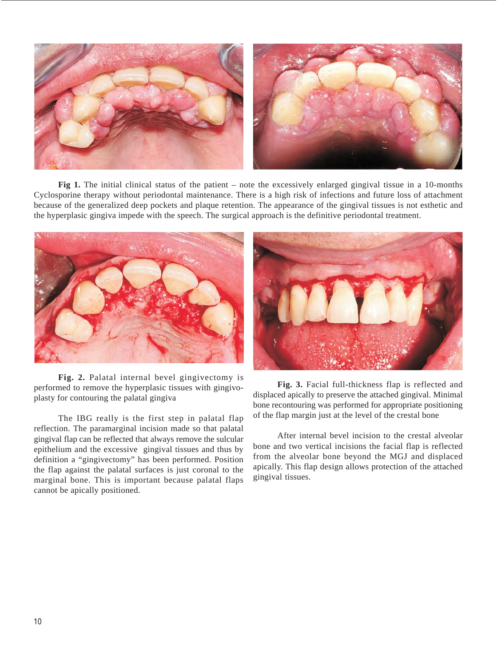

**Fig 1.** The initial clinical status of the patient – note the excessively enlarged gingival tissue in a 10-months Cyclosporine therapy without periodontal maintenance. There is a high risk of infections and future loss of attachment because of the generalized deep pockets and plaque retention. The appearance of the gingival tissues is not esthetic and the hyperplasic gingiva impede with the speech. The surgical approach is the definitive periodontal treatment.



**Fig. 2.** Palatal internal bevel gingivectomy is performed to remove the hyperplasic tissues with gingivoplasty for contouring the palatal gingiva

The IBG really is the first step in palatal flap reflection. The paramarginal incision made so that palatal gingival flap can be reflected that always remove the sulcular epithelium and the excessive gingival tissues and thus by definition a "gingivectomy" has been performed. Position the flap against the palatal surfaces is just coronal to the marginal bone. This is important because palatal flaps cannot be apically positioned.



**Fig. 3.** Facial full-thickness flap is reflected and displaced apically to preserve the attached gingival. Minimal bone recontouring was performed for appropriate positioning of the flap margin just at the level of the crestal bone

After internal bevel incision to the crestal alveolar bone and two vertical incisions the facial flap is reflected from the alveolar bone beyond the MGJ and displaced apically. This flap design allows protection of the attached gingival tissues.